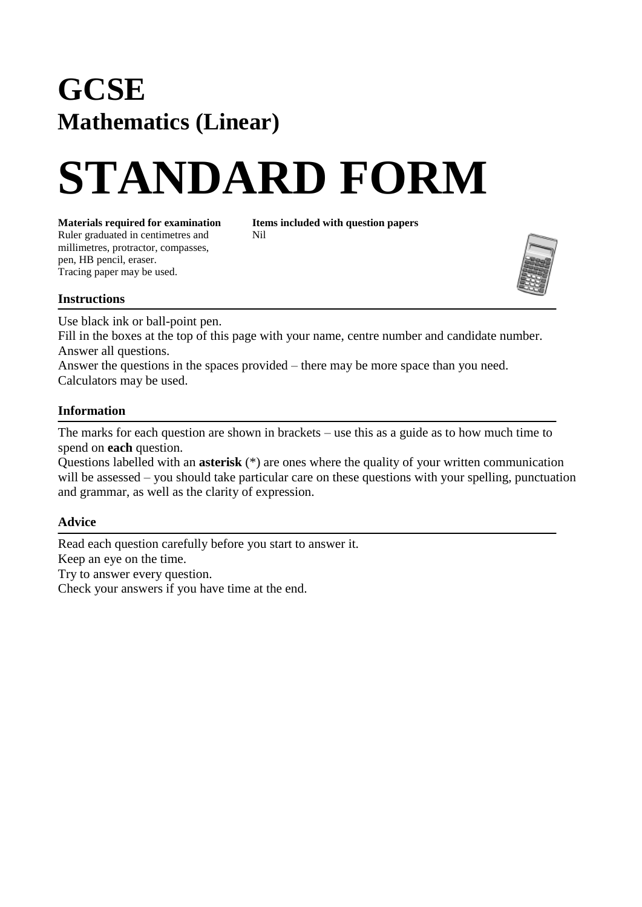## **GCSE Mathematics (Linear)**

# **STANDARD FORM**

Ruler graduated in centimetres and Nil

millimetres, protractor, compasses,

**Materials required for examination Items included with question papers** 

pen, HB pencil, eraser. Tracing paper may be used.



#### **Instructions**

Use black ink or ball-point pen.

Fill in the boxes at the top of this page with your name, centre number and candidate number. Answer all questions.

Answer the questions in the spaces provided – there may be more space than you need. Calculators may be used.

#### **Information**

The marks for each question are shown in brackets – use this as a guide as to how much time to spend on **each** question.

Questions labelled with an **asterisk** (\*) are ones where the quality of your written communication will be assessed – you should take particular care on these questions with your spelling, punctuation and grammar, as well as the clarity of expression.

### **Advice**

Read each question carefully before you start to answer it. Keep an eye on the time. Try to answer every question. Check your answers if you have time at the end.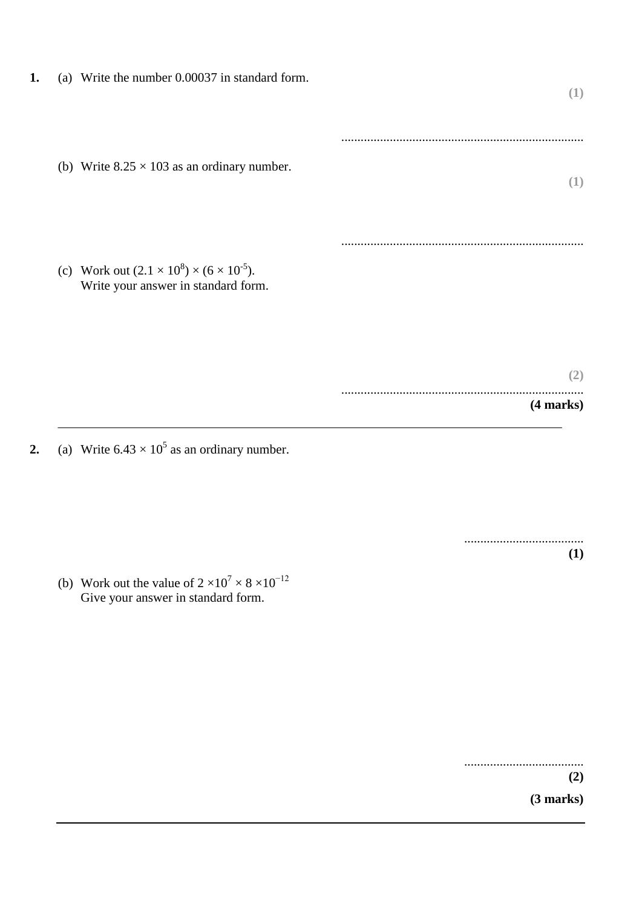| 1. | (a) Write the number 0.00037 in standard form.                                                      | (1)              |
|----|-----------------------------------------------------------------------------------------------------|------------------|
|    | (b) Write $8.25 \times 103$ as an ordinary number.                                                  | (1)              |
|    | (c) Work out $(2.1 \times 10^8) \times (6 \times 10^{-5})$ .<br>Write your answer in standard form. |                  |
|    |                                                                                                     | (2)<br>(4 marks) |

**2.** (a) Write  $6.43 \times 10^5$  as an ordinary number.

..................................... **(1)** 

(b) Work out the value of  $2 \times 10^7 \times 8 \times 10^{-12}$ Give your answer in standard form.

> ..................................... **(2) (3 marks)**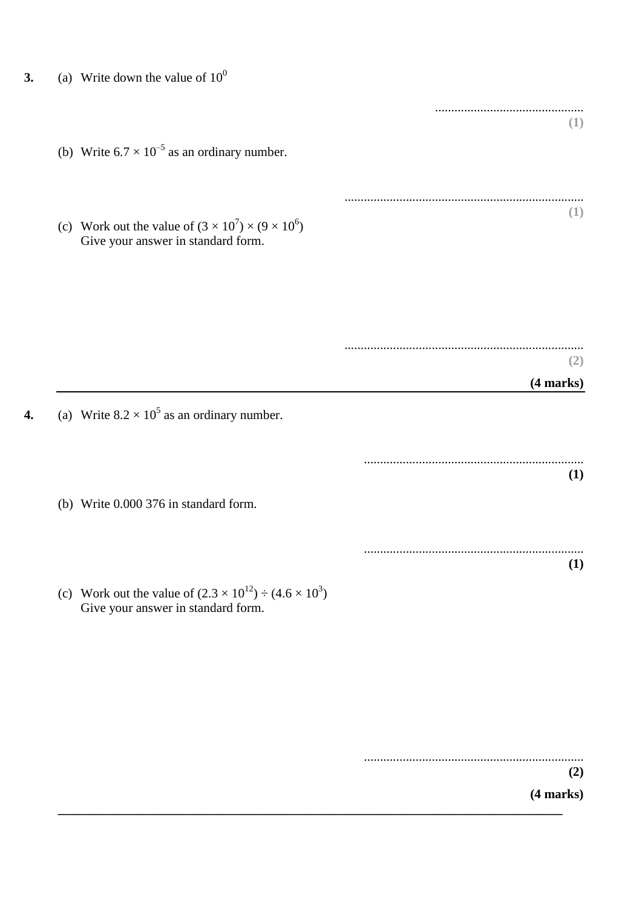- **3.** (a) Write down the value of  $10^0$ 
	- (b) Write  $6.7 \times 10^{-5}$  as an ordinary number.

(c) Work out the value of  $(3 \times 10^7) \times (9 \times 10^6)$ Give your answer in standard form.

> .......................................................................... **(2)**

- **4.** (a) Write  $8.2 \times 10^5$  as an ordinary number.
	- (b) Write 0.000 376 in standard form.
	- (c) Work out the value of  $(2.3 \times 10^{12}) \div (4.6 \times 10^3)$ Give your answer in standard form.

**\_\_\_\_\_\_\_\_\_\_\_\_\_\_\_\_\_\_\_\_\_\_\_\_\_\_\_\_\_\_\_\_\_\_\_\_\_\_\_\_\_\_\_\_\_\_\_\_\_\_\_\_\_\_\_\_\_\_\_\_\_\_\_\_\_\_\_\_\_\_\_\_\_\_\_\_\_\_**

.................................................................... **(2)**

**(4 marks)**

**(4 marks)**

..............................................

..........................................................................

**(1)**

**(1)**

.................................................................... **(1)**

.................................................................... **(1)**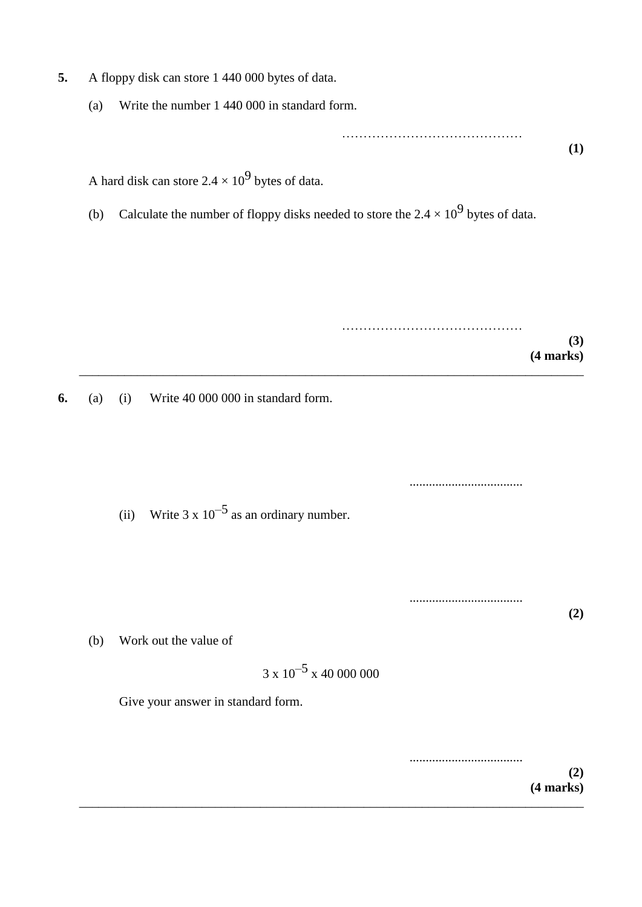- **5.** A floppy disk can store 1 440 000 bytes of data.
	- (a) Write the number 1 440 000 in standard form.

…………………………………… **(1)**

A hard disk can store 2.4  $\times$  10<sup>9</sup> bytes of data.

(b) Calculate the number of floppy disks needed to store the 2.4  $\times$  10<sup>9</sup> bytes of data.

…………………………………… **(3) (4 marks)** \_\_\_\_\_\_\_\_\_\_\_\_\_\_\_\_\_\_\_\_\_\_\_\_\_\_\_\_\_\_\_\_\_\_\_\_\_\_\_\_\_\_\_\_\_\_\_\_\_\_\_\_\_\_\_\_\_\_\_\_\_\_\_\_\_\_\_\_\_\_\_\_\_\_\_\_\_\_

**6.** (a) (i) Write 40 000 000 in standard form.

(ii) Write 3 x  $10^{-5}$  as an ordinary number.

...................................

**(2)**

...................................

(b) Work out the value of

 $3 \times 10^{-5} \times 40\,000\,000$ 

Give your answer in standard form.

................................... **(2) (4 marks)** \_\_\_\_\_\_\_\_\_\_\_\_\_\_\_\_\_\_\_\_\_\_\_\_\_\_\_\_\_\_\_\_\_\_\_\_\_\_\_\_\_\_\_\_\_\_\_\_\_\_\_\_\_\_\_\_\_\_\_\_\_\_\_\_\_\_\_\_\_\_\_\_\_\_\_\_\_\_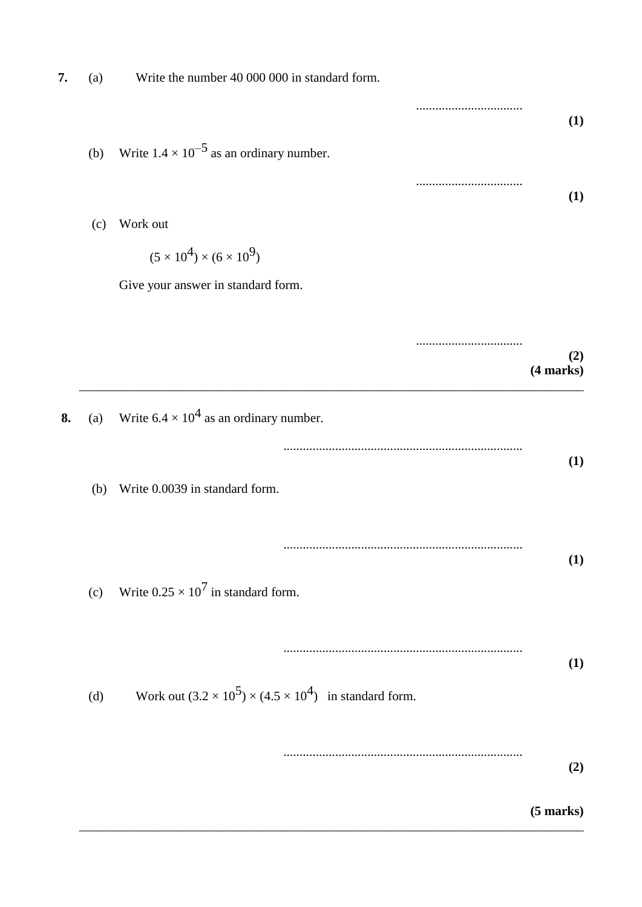|                  | Write the number 40 000 000 in standard form.                           | (a) | 7. |
|------------------|-------------------------------------------------------------------------|-----|----|
| (1)              |                                                                         |     |    |
|                  | Write $1.4 \times 10^{-5}$ as an ordinary number.                       | (b) |    |
| (1)              |                                                                         |     |    |
|                  | Work out                                                                | (c) |    |
|                  | $(5 \times 10^4) \times (6 \times 10^9)$                                |     |    |
|                  | Give your answer in standard form.                                      |     |    |
|                  |                                                                         |     |    |
| (2)<br>(4 marks) |                                                                         |     |    |
|                  | Write $6.4 \times 10^4$ as an ordinary number.                          | (a) | 8. |
| (1)              |                                                                         |     |    |
|                  | Write 0.0039 in standard form.                                          | (b) |    |
|                  |                                                                         |     |    |
| (1)              | Write $0.25 \times 10^7$ in standard form.                              | (c) |    |
|                  |                                                                         |     |    |
| (1)              |                                                                         |     |    |
|                  | Work out $(3.2 \times 10^5) \times (4.5 \times 10^4)$ in standard form. | (d) |    |
|                  |                                                                         |     |    |
| (2)              |                                                                         |     |    |
| $(5$ marks $)$   |                                                                         |     |    |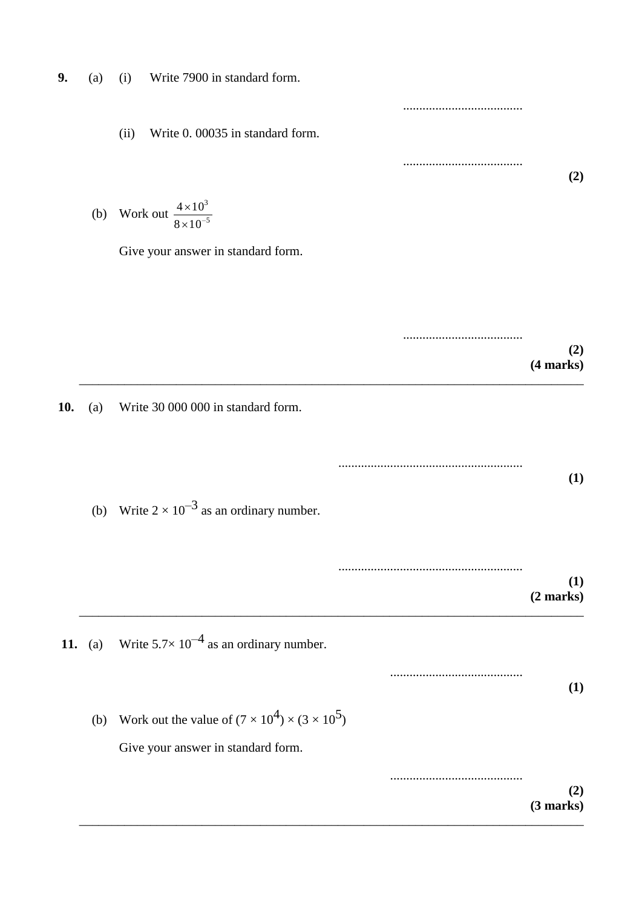- **9.** (a) (i) Write 7900 in standard form.
	- (ii) Write 0. 00035 in standard form.

(b) Work out  $\frac{4 \times 10}{8 \times 10^{-5}}$ 3  $8 \times 10$  $4 \times 10$  $\times$  $\times$ 

Give your answer in standard form.

..................................... **(2) (4 marks)** \_\_\_\_\_\_\_\_\_\_\_\_\_\_\_\_\_\_\_\_\_\_\_\_\_\_\_\_\_\_\_\_\_\_\_\_\_\_\_\_\_\_\_\_\_\_\_\_\_\_\_\_\_\_\_\_\_\_\_\_\_\_\_\_\_\_\_\_\_\_\_\_\_\_\_\_\_\_

\_\_\_\_\_\_\_\_\_\_\_\_\_\_\_\_\_\_\_\_\_\_\_\_\_\_\_\_\_\_\_\_\_\_\_\_\_\_\_\_\_\_\_\_\_\_\_\_\_\_\_\_\_\_\_\_\_\_\_\_\_\_\_\_\_\_\_\_\_\_\_\_\_\_\_\_\_\_

**10.** (a) Write 30 000 000 in standard form.

......................................................... **(1)**

.....................................

.....................................

**(2)**

(b) Write  $2 \times 10^{-3}$  as an ordinary number.

......................................................... **(1) (2 marks)** \_\_\_\_\_\_\_\_\_\_\_\_\_\_\_\_\_\_\_\_\_\_\_\_\_\_\_\_\_\_\_\_\_\_\_\_\_\_\_\_\_\_\_\_\_\_\_\_\_\_\_\_\_\_\_\_\_\_\_\_\_\_\_\_\_\_\_\_\_\_\_\_\_\_\_\_\_\_

**11.** (a) Write  $5.7 \times 10^{-4}$  as an ordinary number.

......................................... **(1)** (b) Work out the value of  $(7 \times 10^4) \times (3 \times 10^5)$ 

Give your answer in standard form.

......................................... **(2) (3 marks)**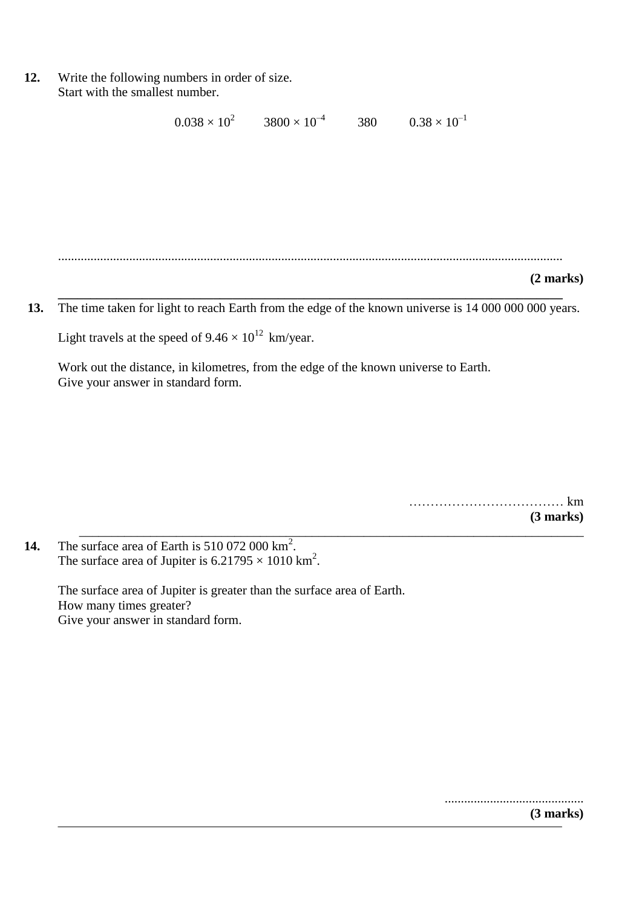**12.** Write the following numbers in order of size. Start with the smallest number.

```
0.038 \times 10^2 3800 \times 10^{-4}380 0.38 \times 10^{-1}
```
............................................................................................................................................................

\_\_\_\_\_\_\_\_\_\_\_\_\_\_\_\_\_\_\_\_\_\_\_\_\_\_\_\_\_\_\_\_\_\_\_\_\_\_\_\_\_\_\_\_\_\_\_\_\_\_\_\_\_\_\_\_\_\_\_\_\_\_\_\_\_\_\_\_\_\_\_\_\_\_\_\_\_\_

**(2 marks)**

**\_\_\_\_\_\_\_\_\_\_\_\_\_\_\_\_\_\_\_\_\_\_\_\_\_\_\_\_\_\_\_\_\_\_\_\_\_\_\_\_\_\_\_\_\_\_\_\_\_\_\_\_\_\_\_\_\_\_\_\_\_\_\_\_\_\_\_\_\_\_\_\_\_\_\_\_\_\_ 13.** The time taken for light to reach Earth from the edge of the known universe is 14 000 000 000 years.

Light travels at the speed of  $9.46 \times 10^{12}$  km/year.

Work out the distance, in kilometres, from the edge of the known universe to Earth. Give your answer in standard form.

> ……………………………… km **(3 marks)**

14. The surface area of Earth is  $510\,072\,000\,\mathrm{km}^2$ . The surface area of Jupiter is  $6.21795 \times 1010$  km<sup>2</sup>.

> The surface area of Jupiter is greater than the surface area of Earth. How many times greater? Give your answer in standard form.

> > ........................................... **(3 marks)**